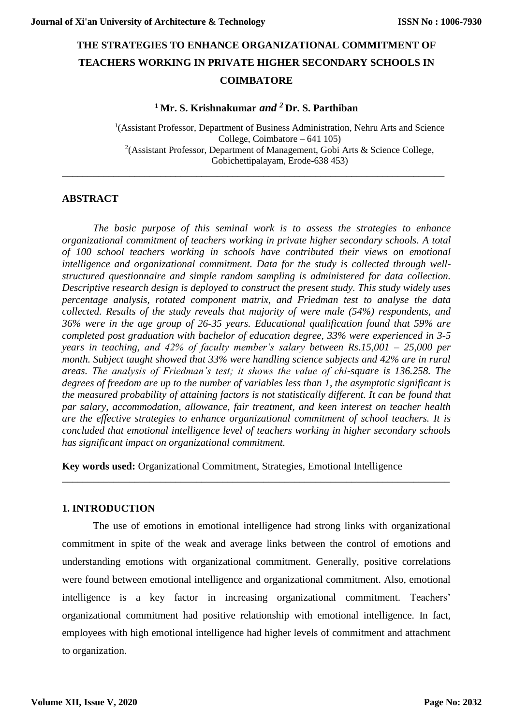# **THE STRATEGIES TO ENHANCE ORGANIZATIONAL COMMITMENT OF TEACHERS WORKING IN PRIVATE HIGHER SECONDARY SCHOOLS IN COIMBATORE**

# **<sup>1</sup> Mr. S. Krishnakumar** *and <sup>2</sup>* **Dr. S. Parthiban**

**\_\_\_\_\_\_\_\_\_\_\_\_\_\_\_\_\_\_\_\_\_\_\_\_\_\_\_\_\_\_\_\_\_\_\_\_\_\_\_\_\_\_\_\_\_\_\_\_\_\_\_\_\_\_\_\_\_\_\_\_\_\_\_\_\_\_\_\_\_\_\_\_\_\_**

<sup>1</sup>(Assistant Professor, Department of Business Administration, Nehru Arts and Science College, Coimbatore – 641 105) 2 (Assistant Professor, Department of Management, Gobi Arts & Science College, Gobichettipalayam, Erode-638 453)

# **ABSTRACT**

*The basic purpose of this seminal work is to assess the strategies to enhance organizational commitment of teachers working in private higher secondary schools. A total of 100 school teachers working in schools have contributed their views on emotional intelligence and organizational commitment. Data for the study is collected through wellstructured questionnaire and simple random sampling is administered for data collection. Descriptive research design is deployed to construct the present study. This study widely uses percentage analysis, rotated component matrix, and Friedman test to analyse the data collected. Results of the study reveals that majority of were male (54%) respondents, and 36% were in the age group of 26-35 years. Educational qualification found that 59% are completed post graduation with bachelor of education degree, 33% were experienced in 3-5 years in teaching, and 42% of faculty member's salary between Rs.15,001 – 25,000 per month. Subject taught showed that 33% were handling science subjects and 42% are in rural areas. The analysis of Friedman's test; it shows the value of chi-square is 136.258. The degrees of freedom are up to the number of variables less than 1, the asymptotic significant is the measured probability of attaining factors is not statistically different. It can be found that par salary, accommodation, allowance, fair treatment, and keen interest on teacher health are the effective strategies to enhance organizational commitment of school teachers. It is concluded that emotional intelligence level of teachers working in higher secondary schools has significant impact on organizational commitment.*

**Key words used:** Organizational Commitment, Strategies, Emotional Intelligence

## **1. INTRODUCTION**

The use of emotions in emotional intelligence had strong links with organizational commitment in spite of the weak and average links between the control of emotions and understanding emotions with organizational commitment. Generally, positive correlations were found between emotional intelligence and organizational commitment. Also, emotional intelligence is a key factor in increasing organizational commitment. Teachers' organizational commitment had positive relationship with emotional intelligence. In fact, employees with high emotional intelligence had higher levels of commitment and attachment to organization.

\_\_\_\_\_\_\_\_\_\_\_\_\_\_\_\_\_\_\_\_\_\_\_\_\_\_\_\_\_\_\_\_\_\_\_\_\_\_\_\_\_\_\_\_\_\_\_\_\_\_\_\_\_\_\_\_\_\_\_\_\_\_\_\_\_\_\_\_\_\_\_\_\_\_\_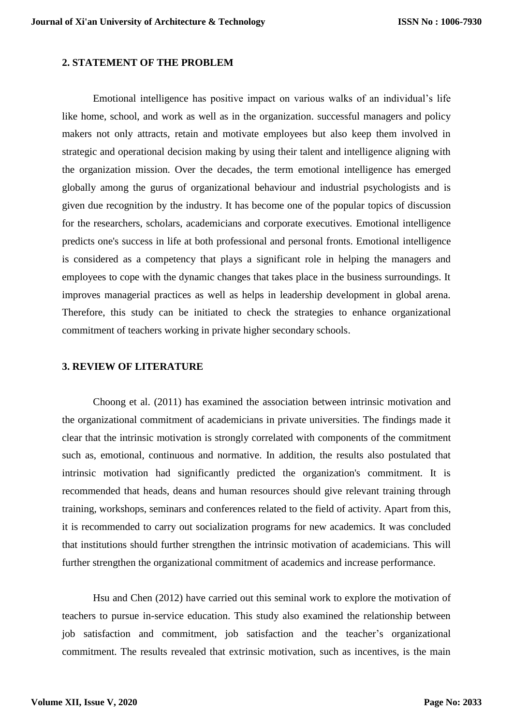## **2. STATEMENT OF THE PROBLEM**

Emotional intelligence has positive impact on various walks of an individual's life like home, school, and work as well as in the organization. successful managers and policy makers not only attracts, retain and motivate employees but also keep them involved in strategic and operational decision making by using their talent and intelligence aligning with the organization mission. Over the decades, the term emotional intelligence has emerged globally among the gurus of organizational behaviour and industrial psychologists and is given due recognition by the industry. It has become one of the popular topics of discussion for the researchers, scholars, academicians and corporate executives. Emotional intelligence predicts one's success in life at both professional and personal fronts. Emotional intelligence is considered as a competency that plays a significant role in helping the managers and employees to cope with the dynamic changes that takes place in the business surroundings. It improves managerial practices as well as helps in leadership development in global arena. Therefore, this study can be initiated to check the strategies to enhance organizational commitment of teachers working in private higher secondary schools.

#### **3. REVIEW OF LITERATURE**

Choong et al. (2011) has examined the association between intrinsic motivation and the organizational commitment of academicians in private universities. The findings made it clear that the intrinsic motivation is strongly correlated with components of the commitment such as, emotional, continuous and normative. In addition, the results also postulated that intrinsic motivation had significantly predicted the organization's commitment. It is recommended that heads, deans and human resources should give relevant training through training, workshops, seminars and conferences related to the field of activity. Apart from this, it is recommended to carry out socialization programs for new academics. It was concluded that institutions should further strengthen the intrinsic motivation of academicians. This will further strengthen the organizational commitment of academics and increase performance.

Hsu and Chen (2012) have carried out this seminal work to explore the motivation of teachers to pursue in-service education. This study also examined the relationship between job satisfaction and commitment, job satisfaction and the teacher's organizational commitment. The results revealed that extrinsic motivation, such as incentives, is the main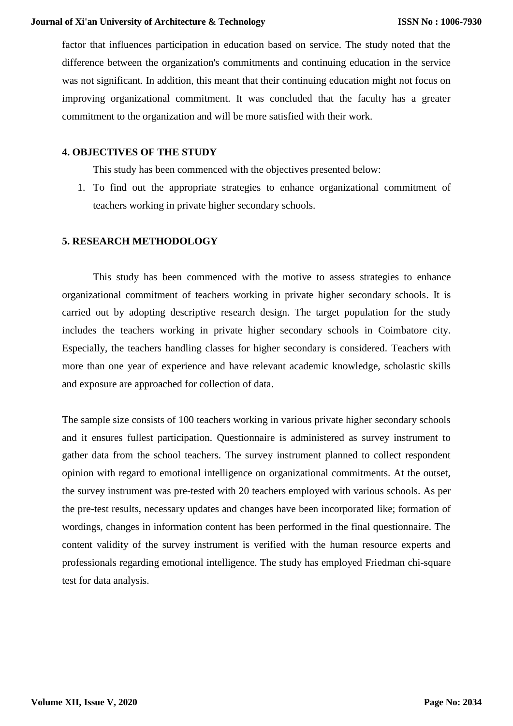factor that influences participation in education based on service. The study noted that the difference between the organization's commitments and continuing education in the service was not significant. In addition, this meant that their continuing education might not focus on improving organizational commitment. It was concluded that the faculty has a greater commitment to the organization and will be more satisfied with their work.

# **4. OBJECTIVES OF THE STUDY**

This study has been commenced with the objectives presented below:

1. To find out the appropriate strategies to enhance organizational commitment of teachers working in private higher secondary schools.

# **5. RESEARCH METHODOLOGY**

This study has been commenced with the motive to assess strategies to enhance organizational commitment of teachers working in private higher secondary schools. It is carried out by adopting descriptive research design. The target population for the study includes the teachers working in private higher secondary schools in Coimbatore city. Especially, the teachers handling classes for higher secondary is considered. Teachers with more than one year of experience and have relevant academic knowledge, scholastic skills and exposure are approached for collection of data.

The sample size consists of 100 teachers working in various private higher secondary schools and it ensures fullest participation. Questionnaire is administered as survey instrument to gather data from the school teachers. The survey instrument planned to collect respondent opinion with regard to emotional intelligence on organizational commitments. At the outset, the survey instrument was pre-tested with 20 teachers employed with various schools. As per the pre-test results, necessary updates and changes have been incorporated like; formation of wordings, changes in information content has been performed in the final questionnaire. The content validity of the survey instrument is verified with the human resource experts and professionals regarding emotional intelligence. The study has employed Friedman chi-square test for data analysis.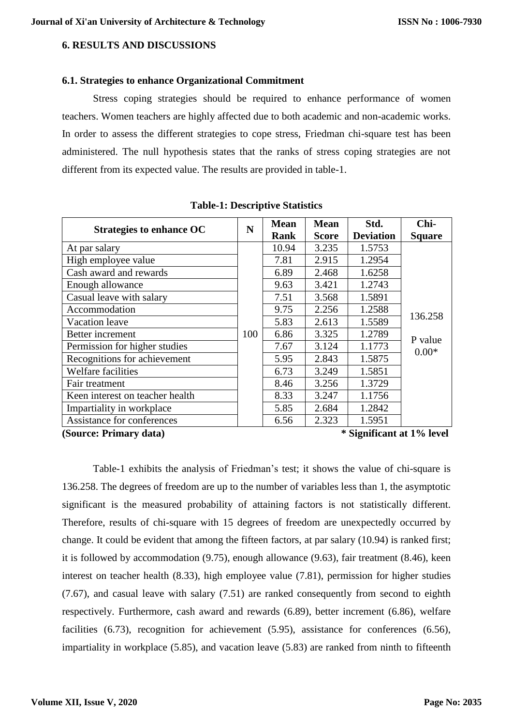# **6. RESULTS AND DISCUSSIONS**

# **6.1. Strategies to enhance Organizational Commitment**

Stress coping strategies should be required to enhance performance of women teachers. Women teachers are highly affected due to both academic and non-academic works. In order to assess the different strategies to cope stress, Friedman chi-square test has been administered. The null hypothesis states that the ranks of stress coping strategies are not different from its expected value. The results are provided in table-1.

| <b>Strategies to enhance OC</b> | N   | <b>Mean</b><br>Rank | <b>Mean</b><br><b>Score</b> | Std.<br><b>Deviation</b> | Chi-<br><b>Square</b>         |
|---------------------------------|-----|---------------------|-----------------------------|--------------------------|-------------------------------|
| At par salary                   |     | 10.94               | 3.235                       | 1.5753                   | 136.258<br>P value<br>$0.00*$ |
| High employee value             |     | 7.81                | 2.915                       | 1.2954                   |                               |
| Cash award and rewards          |     | 6.89                | 2.468                       | 1.6258                   |                               |
| Enough allowance                |     | 9.63                | 3.421                       | 1.2743                   |                               |
| Casual leave with salary        |     | 7.51                | 3.568                       | 1.5891                   |                               |
| Accommodation                   |     | 9.75                | 2.256                       | 1.2588                   |                               |
| Vacation leave                  |     | 5.83                | 2.613                       | 1.5589                   |                               |
| Better increment                | 100 | 6.86                | 3.325                       | 1.2789                   |                               |
| Permission for higher studies   |     | 7.67                | 3.124                       | 1.1773                   |                               |
| Recognitions for achievement    |     | 5.95                | 2.843                       | 1.5875                   |                               |
| Welfare facilities              |     | 6.73                | 3.249                       | 1.5851                   |                               |
| Fair treatment                  |     | 8.46                | 3.256                       | 1.3729                   |                               |
| Keen interest on teacher health |     | 8.33                | 3.247                       | 1.1756                   |                               |
| Impartiality in workplace       |     | 5.85                | 2.684                       | 1.2842                   |                               |
| Assistance for conferences      |     | 6.56                | 2.323                       | 1.5951                   |                               |

**Table-1: Descriptive Statistics** 

Table-1 exhibits the analysis of Friedman's test; it shows the value of chi-square is 136.258. The degrees of freedom are up to the number of variables less than 1, the asymptotic significant is the measured probability of attaining factors is not statistically different. Therefore, results of chi-square with 15 degrees of freedom are unexpectedly occurred by change. It could be evident that among the fifteen factors, at par salary (10.94) is ranked first; it is followed by accommodation (9.75), enough allowance (9.63), fair treatment (8.46), keen interest on teacher health (8.33), high employee value (7.81), permission for higher studies (7.67), and casual leave with salary (7.51) are ranked consequently from second to eighth respectively. Furthermore, cash award and rewards (6.89), better increment (6.86), welfare facilities (6.73), recognition for achievement (5.95), assistance for conferences (6.56), impartiality in workplace (5.85), and vacation leave (5.83) are ranked from ninth to fifteenth

**<sup>(</sup>Source: Primary data) \* Significant at 1% level**